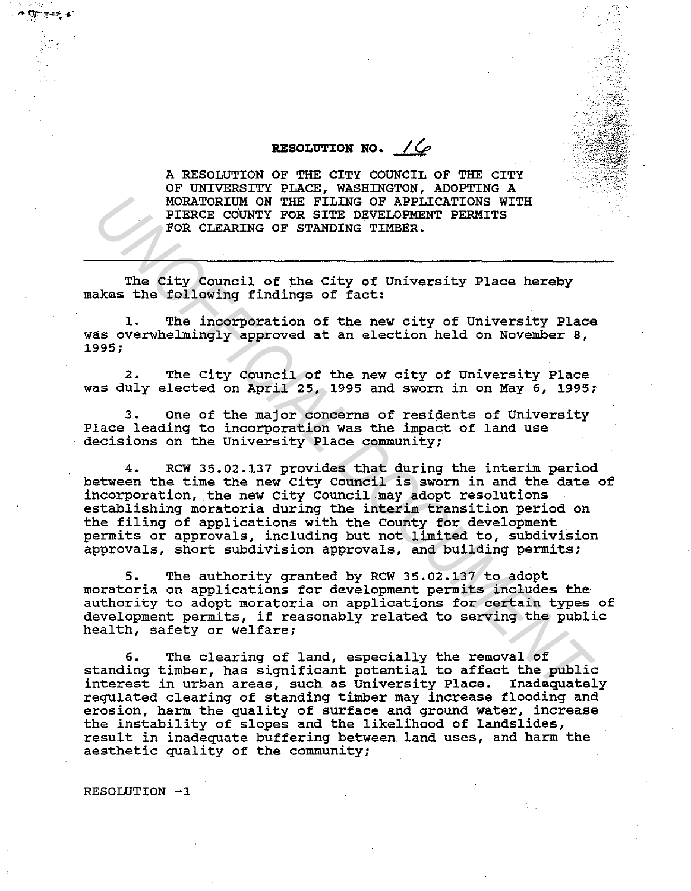## **RESOLUTION NO.**  $\angle$

 $\kappa$ 

';'

A RESOLUTION OF THE CITY COUNCIL OF THE CITY OF UNIVERSITY PLACE, WASHINGTON, ADOPTING A MORATORIUM ON THE FILING OF APPLICATIONS WITH PIERCE COUNTY FOR SITE DEVELOPMENT PERMITS FOR CLEARING OF STANDING TIMBER.

The city Council of the city of University Place hereby makes the following findings of fact:

l. The incorporation of the new city of University Place was overwhelmingly approved at an election held on November a, 1995;

2. The City council of the new city of University Place was duly elected on April 25, 1995 and sworn in on May 6, 1995;

3. one of the major concerns of residents of University Place leading to incorporation was the impact of land use decisions on the University Place community;

4. Rew 35.02.137 provides that during the interim period between the time the new City Council is sworn in and the date of incorporation, the new City Council-may adopt resolutions establishing moratoria during the interim transition period on the filing of applications with the County for development permits or approvals, including but not limited to, subdivision approvals, short subdivision approvals, and building permits; MORATORIUM ON THE FILING OF APPILCATIONS WITH<br>PIERCE COUNTY FOR SITE BEVELOPMENT PERMITS<br>FOR CLEARING OF STANDING TIMBER.<br>TOR CLEARING OF STANDING TIMBER.<br>THE CREARING OF STANDING TIMBER.<br>THE CREARING OF STANDING TIMBER.<br>T

5. The authority granted by RCW 35.02.137 to adopt moratoria on applications for development permits includes the authority to adopt moratoria on applications for certain types of development permits, if reasonably related to serving the public health, safety or welfare;

6. The clearing of land, especially the removal of standing timber, has significant potential to affect the public interest in urban areas, such as University Place. Inadequately regulated clearing of standing timber may increase flooding and erosion, harm the quality of surface and ground water, increase the instability of slopes and the likelihood of landslides, result in inadequate buffering between land uses, and harm the aesthetic quality of the community;

RESOLUTION -1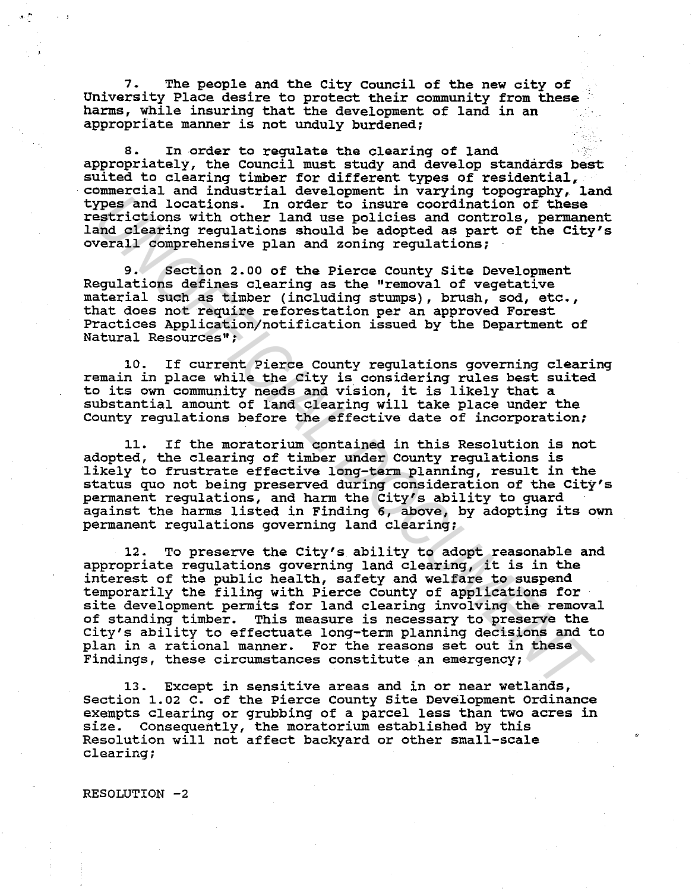7. The people and the City Council of the new city of University Place desire to protect their community from these harms, while insuring that the development of land in an appropriate manner is not unduly burdened;

8. In order to regulate the clearing of land appropriately, the Council must study and develop standards best suited to clearing timber for different types of residential, commercial and industrial development in varying topography, land In order to insure coordination of these restrictions with other land use policies and controls, permanent land clearing regulations should be adopted as part of the City's overall comprehensive plan and zoning regulations;

9. Section 2.00 of the Pierce County Site Development Regulations defines clearing as the "removal of vegetative material such as timber (including stumps), brush, sod, etc., that does not require reforestation per an approved Forest Practices Application/notification issued by the Department of Natural Resources";

10. If current Pierce County regulations governing clearing remain in place while the City is considering rules best suited remain in place while the City is considering rules best st<br>to its own community needs and vision, it is likely that a substantial amount of land clearing will take place under the County regulations before the effective date of incorporation;

11. If the moratorium contained in this Resolution is not adopted, the clearing of timber under County regulations is likely to frustrate effective long-term planning, result in the status quo not being preserved during consideration of the City's permanent regulations, and harm the City's ability to guard against the harms listed in Finding 6, above, by adopting its own permanent regulations governing land clearing;

12. To preserve the City's ability to adopt reasonable and appropriate regulations governing land clearing, it is in the interest of the public health, safety and welfare to suspend temporarily the filing with Pierce County of applications for site development permits for land clearing involving the removal of standing timber. This measure is necessary to preserve the City's ability to effectuate long-term planning decisions and to plan in a rational manner. For the reasons set out in these Findings, these circumstances constitute an emergency; Xypes and locations.<sup>1</sup> In order to insure coordination of these<br>easily continuous in continuous policies and controls, permane<br>and clearing regulations should be adopted as part of the City<br>and clearing regulations abould

13. Except in sensitive areas and in or near wetlands, Section 1.02 c. of the Pierce County site Development Ordinance exempts clearing or grubbing of a parcel less than two acres in size. Consequently, the moratorium established by this Resolution will not affect backyard or other small-scale clearing;

RESOLUTION -2

.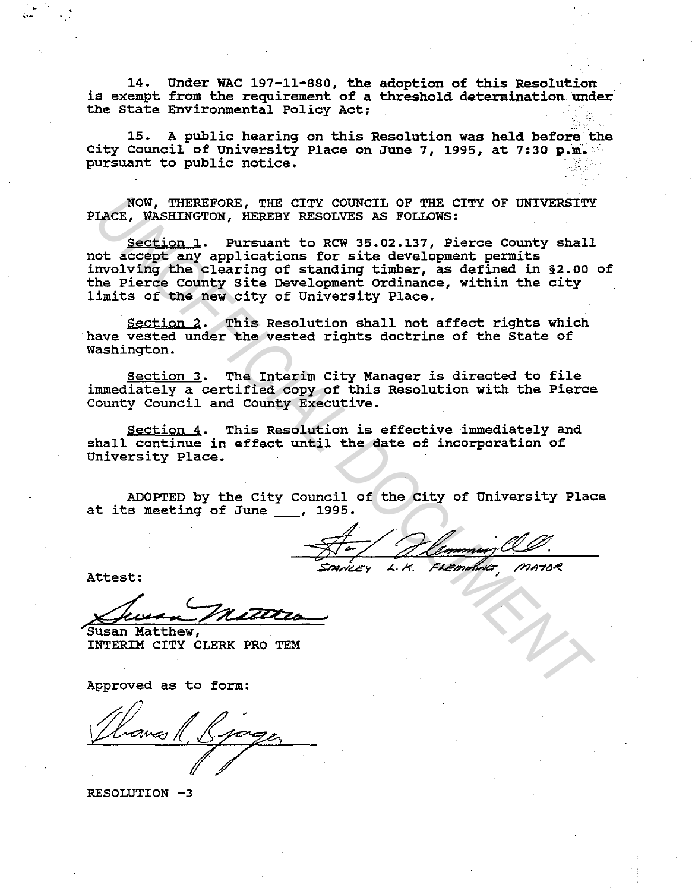14. Under WAC 197-11-880, the adoption of this Resolution is exempt from the requirement of a threshold determination under the State Environmental Policy Act;

15. A public hearing on this Resolution was held before the City Council of University Place on June 7, 1995, at 7:30 p.m. pursuant to public notice.

NOW, THEREFORE, THE CITY COUNCIL OF THE CITY OF UNIVERSITY PLACE, WASHINGTON, HEREBY RESOLVES AS FOLLOWS:

Section 1. Pursuant to RCW 35.02.137, Pierce County shall not accept any applications for site development permits involving the clearing of standing timber, as defined in §2.00 of the Pierce County Site Development Ordinance, within the city limits of the new city of University Place. NOW, THERETORE, THE CITY COUNCIL OF THE CITY OF UNIVERSITY<br>LACE, WASHINGTON, HEREN RESOLVES AS POLLOWS:<br>
Section 1. Pursuant to RCW 35.02.137, Pierce County shall<br>order any applications for site development permit permissi

Section 2. This Resolution shall not affect rights which have vested under the vested rights doctrine of the State of Washington.

Section 3. The Interim City Manager is directed to file immediately a certified copy of this Resolution with the Pierce County Council and County Executive.

Section 4. This Resolution is effective immediately and shall continue in effect until the date of incorporation of University Place.

at its meeting of June , 1995.

Attest:

 $\frac{1}{2}$ 

Susan Matthew, INTERIM CITY CLERK PRO TEM

Approved as to form:

. /

RESOLUTION -3